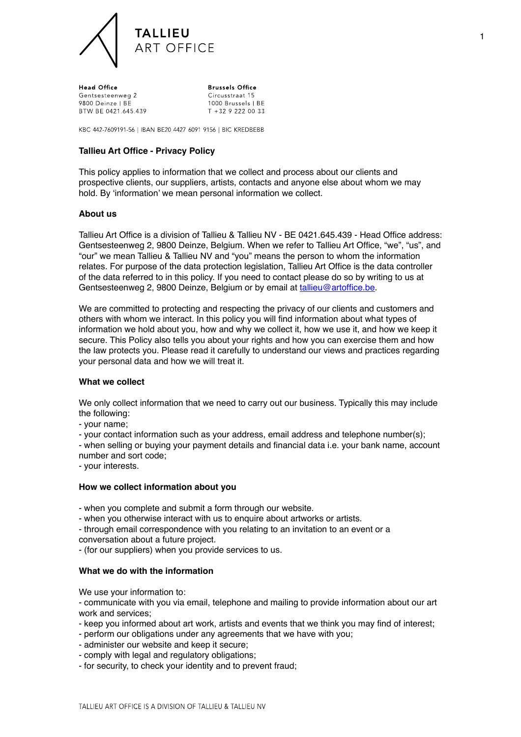

Head Office Gentsesteenweg 2 9800 Deinze LBF BTW BE 0421.645.439

**Brussels Office** Circusstraat 15 1000 Brussels | BE T +32 9 222 00 33

KBC 442-7609191-56 | IBAN BE20 4427 6091 9156 | BIC KREDBEBB

## **Tallieu Art Office - Privacy Policy**

This policy applies to information that we collect and process about our clients and prospective clients, our suppliers, artists, contacts and anyone else about whom we may hold. By 'information' we mean personal information we collect.

### **About us**

Tallieu Art Office is a division of Tallieu & Tallieu NV - BE 0421.645.439 - Head Office address: Gentsesteenweg 2, 9800 Deinze, Belgium. When we refer to Tallieu Art Office, "we", "us", and "our" we mean Tallieu & Tallieu NV and "you" means the person to whom the information relates. For purpose of the data protection legislation, Tallieu Art Office is the data controller of the data referred to in this policy. If you need to contact please do so by writing to us at Gentsesteenweg 2, 9800 Deinze, Belgium or by email at [tallieu@artoffice.be](mailto:tallieu@artoffice.be).

We are committed to protecting and respecting the privacy of our clients and customers and others with whom we interact. In this policy you will find information about what types of information we hold about you, how and why we collect it, how we use it, and how we keep it secure. This Policy also tells you about your rights and how you can exercise them and how the law protects you. Please read it carefully to understand our views and practices regarding your personal data and how we will treat it.

### **What we collect**

We only collect information that we need to carry out our business. Typically this may include the following:

- your name;

- your contact information such as your address, email address and telephone number(s);

- when selling or buying your payment details and financial data i.e. your bank name, account number and sort code;

- your interests.

### **How we collect information about you**

- when you complete and submit a form through our website.

- when you otherwise interact with us to enquire about artworks or artists.

- through email correspondence with you relating to an invitation to an event or a conversation about a future project.

- (for our suppliers) when you provide services to us.

### **What we do with the information**

We use your information to:

- communicate with you via email, telephone and mailing to provide information about our art work and services;

- keep you informed about art work, artists and events that we think you may find of interest;
- perform our obligations under any agreements that we have with you;
- administer our website and keep it secure;
- comply with legal and regulatory obligations;
- for security, to check your identity and to prevent fraud;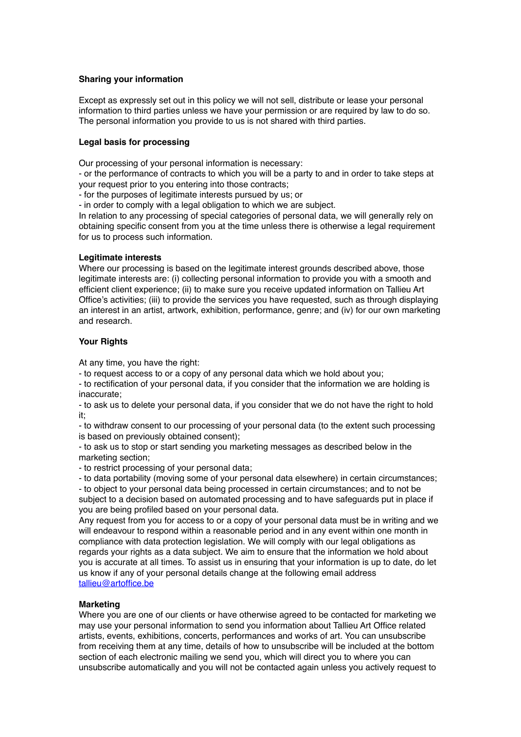## **Sharing your information**

Except as expressly set out in this policy we will not sell, distribute or lease your personal information to third parties unless we have your permission or are required by law to do so. The personal information you provide to us is not shared with third parties.

### **Legal basis for processing**

Our processing of your personal information is necessary:

- or the performance of contracts to which you will be a party to and in order to take steps at your request prior to you entering into those contracts;

- for the purposes of legitimate interests pursued by us; or

- in order to comply with a legal obligation to which we are subject.

In relation to any processing of special categories of personal data, we will generally rely on obtaining specific consent from you at the time unless there is otherwise a legal requirement for us to process such information.

## **Legitimate interests**

Where our processing is based on the legitimate interest grounds described above, those legitimate interests are: (i) collecting personal information to provide you with a smooth and efficient client experience; (ii) to make sure you receive updated information on Tallieu Art Office's activities; (iii) to provide the services you have requested, such as through displaying an interest in an artist, artwork, exhibition, performance, genre; and (iv) for our own marketing and research.

## **Your Rights**

At any time, you have the right:

- to request access to or a copy of any personal data which we hold about you;

- to rectification of your personal data, if you consider that the information we are holding is inaccurate;

- to ask us to delete your personal data, if you consider that we do not have the right to hold it;

- to withdraw consent to our processing of your personal data (to the extent such processing is based on previously obtained consent);

- to ask us to stop or start sending you marketing messages as described below in the marketing section;

- to restrict processing of your personal data;

- to data portability (moving some of your personal data elsewhere) in certain circumstances;

- to object to your personal data being processed in certain circumstances; and to not be subject to a decision based on automated processing and to have safeguards put in place if you are being profiled based on your personal data.

Any request from you for access to or a copy of your personal data must be in writing and we will endeavour to respond within a reasonable period and in any event within one month in compliance with data protection legislation. We will comply with our legal obligations as regards your rights as a data subject. We aim to ensure that the information we hold about you is accurate at all times. To assist us in ensuring that your information is up to date, do let us know if any of your personal details change at the following email address [tallieu@artoffice.be](mailto:tallieu@artoffice.be)

# **Marketing**

Where you are one of our clients or have otherwise agreed to be contacted for marketing we may use your personal information to send you information about Tallieu Art Office related artists, events, exhibitions, concerts, performances and works of art. You can unsubscribe from receiving them at any time, details of how to unsubscribe will be included at the bottom section of each electronic mailing we send you, which will direct you to where you can unsubscribe automatically and you will not be contacted again unless you actively request to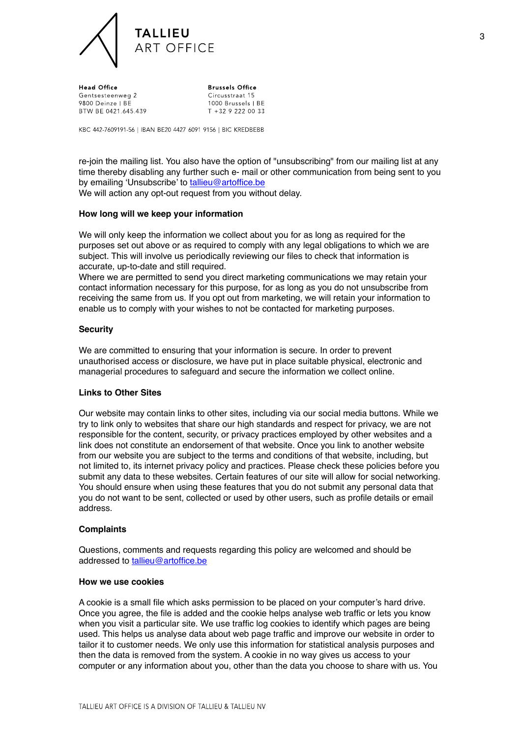

Head Office Gentsesteenweg 2 9800 Deinze LBF BTW BE 0421.645.439

**Brussels Office** Circusstraat 15 1000 Brussels | BE T +32 9 222 00 33

KBC 442-7609191-56 | IBAN BE20 4427 6091 9156 | BIC KREDBEBB

re-join the mailing list. You also have the option of "unsubscribing" from our mailing list at any time thereby disabling any further such e- mail or other communication from being sent to you by emailing 'Unsubscribe' to [tallieu@artoffice.be](mailto:tallieu@artoffice.be)

We will action any opt-out request from you without delay.

### **How long will we keep your information**

We will only keep the information we collect about you for as long as required for the purposes set out above or as required to comply with any legal obligations to which we are subject. This will involve us periodically reviewing our files to check that information is accurate, up-to-date and still required.

Where we are permitted to send you direct marketing communications we may retain your contact information necessary for this purpose, for as long as you do not unsubscribe from receiving the same from us. If you opt out from marketing, we will retain your information to enable us to comply with your wishes to not be contacted for marketing purposes.

### **Security**

We are committed to ensuring that your information is secure. In order to prevent unauthorised access or disclosure, we have put in place suitable physical, electronic and managerial procedures to safeguard and secure the information we collect online.

### **Links to Other Sites**

Our website may contain links to other sites, including via our social media buttons. While we try to link only to websites that share our high standards and respect for privacy, we are not responsible for the content, security, or privacy practices employed by other websites and a link does not constitute an endorsement of that website. Once you link to another website from our website you are subject to the terms and conditions of that website, including, but not limited to, its internet privacy policy and practices. Please check these policies before you submit any data to these websites. Certain features of our site will allow for social networking. You should ensure when using these features that you do not submit any personal data that you do not want to be sent, collected or used by other users, such as profile details or email address.

### **Complaints**

Questions, comments and requests regarding this policy are welcomed and should be addressed to [tallieu@artoffice.be](mailto:tallieu@artoffice.be)

#### **How we use cookies**

A cookie is a small file which asks permission to be placed on your computer's hard drive. Once you agree, the file is added and the cookie helps analyse web traffic or lets you know when you visit a particular site. We use traffic log cookies to identify which pages are being used. This helps us analyse data about web page traffic and improve our website in order to tailor it to customer needs. We only use this information for statistical analysis purposes and then the data is removed from the system. A cookie in no way gives us access to your computer or any information about you, other than the data you choose to share with us. You